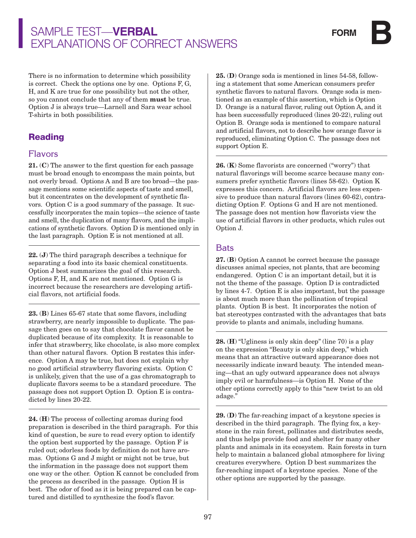# Sample Test—**verbal**  Explanations of Correct Answers

There is no information to determine which possibility is correct. Check the options one by one. Options F, G, H, and K are true for one possibility but not the other, so you cannot conclude that any of them must be true. Option J is always true—Larnell and Sara wear school T-shirts in both possibilities.

### Reading

#### Flavors

21. (C) The answer to the first question for each passage must be broad enough to encompass the main points, but not overly broad. Options A and B are too broad—the passage mentions some scientific aspects of taste and smell, but it concentrates on the development of synthetic flavors. Option C is a good summary of the passage. It successfully incorporates the main topics—the science of taste and smell, the duplication of many flavors, and the implications of synthetic flavors. Option D is mentioned only in the last paragraph. Option E is not mentioned at all.

22. (J) The third paragraph describes a technique for separating a food into its basic chemical constituents. Option J best summarizes the goal of this research. Options F, H, and K are not mentioned. Option G is incorrect because the researchers are developing artificial flavors, not artificial foods.

23. (B) Lines 65-67 state that some flavors, including strawberry, are nearly impossible to duplicate. The passage then goes on to say that chocolate flavor cannot be duplicated because of its complexity. It is reasonable to infer that strawberry, like chocolate, is also more complex than other natural flavors. Option B restates this inference. Option A may be true, but does not explain why no good artificial strawberry flavoring exists. Option C is unlikely, given that the use of a gas chromatograph to duplicate flavors seems to be a standard procedure. The passage does not support Option D. Option E is contradicted by lines 20-22.

24. (H) The process of collecting aromas during food preparation is described in the third paragraph. For this kind of question, be sure to read every option to identify the option best supported by the passage. Option F is ruled out; odorless foods by definition do not have aromas. Options G and J might or might not be true, but the information in the passage does not support them one way or the other. Option K cannot be concluded from the process as described in the passage. Option H is best. The odor of food as it is being prepared can be captured and distilled to synthesize the food's flavor.

25. (D) Orange soda is mentioned in lines 54-58, following a statement that some American consumers prefer synthetic flavors to natural flavors. Orange soda is mentioned as an example of this assertion, which is Option D. Orange is a natural flavor, ruling out Option A, and it has been successfully reproduced (lines 20-22), ruling out Option B. Orange soda is mentioned to compare natural and artificial flavors, not to describe how orange flavor is reproduced, eliminating Option C. The passage does not support Option E.

26. (K) Some flavorists are concerned ("worry") that natural flavorings will become scarce because many consumers prefer synthetic flavors (lines 58-62). Option K expresses this concern. Artificial flavors are less expensive to produce than natural flavors (lines 60-62), contradicting Option F. Options G and H are not mentioned. The passage does not mention how flavorists view the use of artificial flavors in other products, which rules out Option J.

#### Bats

27. (B) Option A cannot be correct because the passage discusses animal species, not plants, that are becoming endangered. Option C is an important detail, but it is not the theme of the passage. Option D is contradicted by lines 4-7. Option E is also important, but the passage is about much more than the pollination of tropical plants. Option B is best. It incorporates the notion of bat stereotypes contrasted with the advantages that bats provide to plants and animals, including humans.

28. (H) "Ugliness is only skin deep" (line 70) is a play on the expression "Beauty is only skin deep," which means that an attractive outward appearance does not necessarily indicate inward beauty. The intended meaning—that an ugly outward appearance does not always imply evil or harmfulness—is Option H. None of the other options correctly apply to this "new twist to an old adage."

29. (D) The far-reaching impact of a keystone species is described in the third paragraph. The flying fox, a keystone in the rain forest, pollinates and distributes seeds, and thus helps provide food and shelter for many other plants and animals in its ecosystem. Rain forests in turn help to maintain a balanced global atmosphere for living creatures everywhere. Option D best summarizes the far-reaching impact of a keystone species. None of the other options are supported by the passage.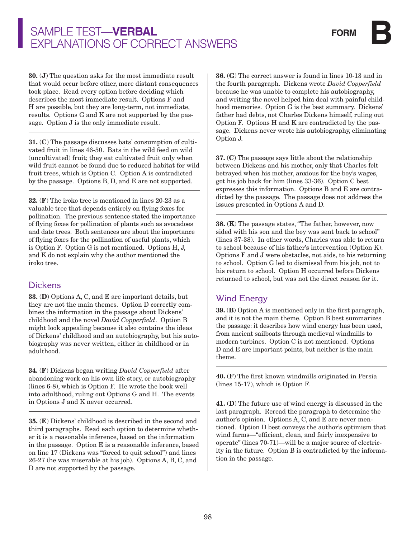# Sample Test—**verbal**  Explanations of Correct Answers

30. (J) The question asks for the most immediate result that would occur before other, more distant consequences took place. Read every option before deciding which describes the most immediate result. Options F and H are possible, but they are long-term, not immediate, results. Options G and K are not supported by the passage. Option J is the only immediate result.

31. (C) The passage discusses bats' consumption of cultivated fruit in lines 46-50. Bats in the wild feed on wild (uncultivated) fruit; they eat cultivated fruit only when wild fruit cannot be found due to reduced habitat for wild fruit trees, which is Option C. Option A is contradicted by the passage. Options B, D, and E are not supported.

32. (F) The iroko tree is mentioned in lines 20-23 as a valuable tree that depends entirely on flying foxes for pollination. The previous sentence stated the importance of flying foxes for pollination of plants such as avocadoes and date trees. Both sentences are about the importance of flying foxes for the pollination of useful plants, which is Option F. Option G is not mentioned. Options H, J, and K do not explain why the author mentioned the iroko tree.

### Dickens

33. (D) Options A, C, and E are important details, but they are not the main themes. Option D correctly combines the information in the passage about Dickens' childhood and the novel *David Copperfield*. Option B might look appealing because it also contains the ideas of Dickens' childhood and an autobiography, but his autobiography was never written, either in childhood or in adulthood.

34. (F) Dickens began writing *David Copperfield* after abandoning work on his own life story, or autobiography (lines 6-8), which is Option F. He wrote the book well into adulthood, ruling out Options G and H. The events in Options J and K never occurred.

35. (E) Dickens' childhood is described in the second and third paragraphs. Read each option to determine whether it is a reasonable inference, based on the information in the passage. Option E is a reasonable inference, based on line 17 (Dickens was "forced to quit school") and lines 26-27 (he was miserable at his job). Options A, B, C, and D are not supported by the passage.

36. (G) The correct answer is found in lines 10-13 and in the fourth paragraph. Dickens wrote *David Copperfield* because he was unable to complete his autobiography, and writing the novel helped him deal with painful childhood memories. Option G is the best summary. Dickens' father had debts, not Charles Dickens himself, ruling out Option F. Options H and K are contradicted by the passage. Dickens never wrote his autobiography, eliminating Option J.

37. (C) The passage says little about the relationship between Dickens and his mother, only that Charles felt betrayed when his mother, anxious for the boy's wages, got his job back for him (lines 33-36). Option C best expresses this information. Options B and E are contradicted by the passage. The passage does not address the issues presented in Options A and D.

38. (K) The passage states, "The father, however, now sided with his son and the boy was sent back to school" (lines 37-38). In other words, Charles was able to return to school because of his father's intervention (Option K). Options F and J were obstacles, not aids, to his returning to school. Option G led to dismissal from his job, not to his return to school. Option H occurred before Dickens returned to school, but was not the direct reason for it.

### Wind Energy

39. (B) Option A is mentioned only in the first paragraph, and it is not the main theme. Option B best summarizes the passage: it describes how wind energy has been used, from ancient sailboats through medieval windmills to modern turbines. Option C is not mentioned. Options D and E are important points, but neither is the main theme.

40. (F) The first known windmills originated in Persia (lines 15-17), which is Option F.

41. (D) The future use of wind energy is discussed in the last paragraph. Reread the paragraph to determine the author's opinion. Options A, C, and E are never mentioned. Option D best conveys the author's optimism that wind farms—"efficient, clean, and fairly inexpensive to operate" (lines 70-71)—will be a major source of electricity in the future. Option B is contradicted by the information in the passage.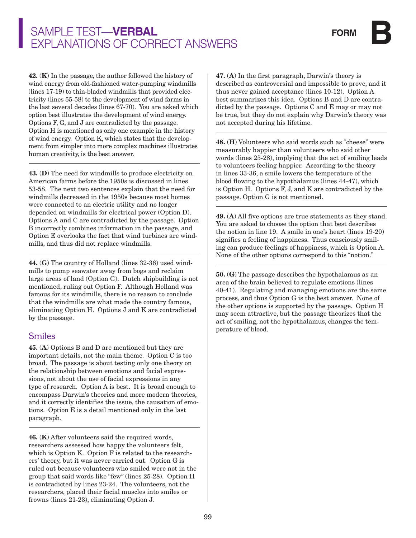# Sample Test—**verbal**  Explanations of Correct Answers

42. (K) In the passage, the author followed the history of wind energy from old-fashioned water-pumping windmills (lines 17-19) to thin-bladed windmills that provided electricity (lines 55-58) to the development of wind farms in the last several decades (lines 67-70). You are asked which option best illustrates the development of wind energy. Options F, G, and J are contradicted by the passage. Option H is mentioned as only one example in the history of wind energy. Option K, which states that the development from simpler into more complex machines illustrates human creativity, is the best answer.

43. (D) The need for windmills to produce electricity on American farms before the 1950s is discussed in lines 53-58. The next two sentences explain that the need for windmills decreased in the 1950s because most homes were connected to an electric utility and no longer depended on windmills for electrical power (Option D). Options A and C are contradicted by the passage. Option B incorrectly combines information in the passage, and Option E overlooks the fact that wind turbines are windmills, and thus did not replace windmills.

44. (G) The country of Holland (lines 32-36) used windmills to pump seawater away from bogs and reclaim large areas of land (Option G). Dutch shipbuilding is not mentioned, ruling out Option F. Although Holland was famous for its windmills, there is no reason to conclude that the windmills are what made the country famous, eliminating Option H. Options J and K are contradicted by the passage.

#### Smiles

45. (A) Options B and D are mentioned but they are important details, not the main theme. Option C is too broad. The passage is about testing only one theory on the relationship between emotions and facial expressions, not about the use of facial expressions in any type of research. Option A is best. It is broad enough to encompass Darwin's theories and more modern theories, and it correctly identifies the issue, the causation of emotions. Option E is a detail mentioned only in the last paragraph.

46. (K) After volunteers said the required words, researchers assessed how happy the volunteers felt, which is Option K. Option F is related to the researchers' theory, but it was never carried out. Option G is ruled out because volunteers who smiled were not in the group that said words like "few" (lines 25-28). Option H is contradicted by lines 23-24. The volunteers, not the researchers, placed their facial muscles into smiles or frowns (lines 21-23), eliminating Option J.

47. (A) In the first paragraph, Darwin's theory is described as controversial and impossible to prove, and it thus never gained acceptance (lines 10-12). Option A best summarizes this idea. Options B and D are contradicted by the passage. Options C and E may or may not be true, but they do not explain why Darwin's theory was not accepted during his lifetime.

48. (H) Volunteers who said words such as "cheese" were measurably happier than volunteers who said other words (lines 25-28), implying that the act of smiling leads to volunteers feeling happier. According to the theory in lines 33-36, a smile lowers the temperature of the blood flowing to the hypothalamus (lines 44-47), which is Option H. Options F, J, and K are contradicted by the passage. Option G is not mentioned.

49. (A) All five options are true statements as they stand. You are asked to choose the option that best describes the notion in line 19. A smile in one's heart (lines 19-20) signifies a feeling of happiness. Thus consciously smiling can produce feelings of happiness, which is Option A. None of the other options correspond to this "notion."

50. (G) The passage describes the hypothalamus as an area of the brain believed to regulate emotions (lines 40-41). Regulating and managing emotions are the same process, and thus Option G is the best answer. None of the other options is supported by the passage. Option H may seem attractive, but the passage theorizes that the act of smiling, not the hypothalamus, changes the temperature of blood.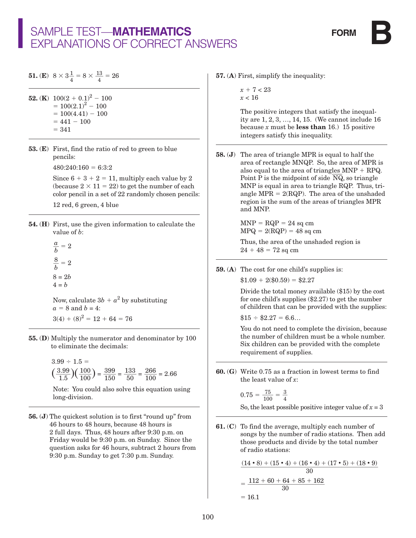**51.** (**E**)  $8 \times 3\frac{1}{4} = 8 \times \frac{13}{4} = 26$ 

52. (K)  $100(2 + 0.1)^2 - 100$  $= 100(2.1)^{2} - 100$  $= 100(4.41) - 100$  $= 441 - 100$  $= 341$ 

53. (E) First, find the ratio of red to green to blue pencils:

 $480:240:160 = 6:3:2$ 

Since  $6 + 3 + 2 = 11$ , multiply each value by 2 (because  $2 \times 11 = 22$ ) to get the number of each color pencil in a set of 22 randomly chosen pencils:

12 red, 6 green, 4 blue

54. (H) First, use the given information to calculate the value of *b*:

 $\frac{a}{b} = 2$  $\frac{8}{b}$  = 2 8 = 2*b*  $4 = b$ 

Now, calculate  $3b + a^2$  by substituting  $a = 8$  and  $b = 4$ :  $3(4) + (8)^2 = 12 + 64 = 76$ 

55. (D) Multiply the numerator and denominator by 100 to eliminate the decimals:

> $3.99 \div 1.5 =$  $\left(\frac{3.99}{1.5}\right)\left(\frac{100}{100}\right) = \frac{399}{150} = \frac{133}{50} = \frac{266}{100} = 2.66$

 Note: You could also solve this equation using long-division.

56. (J) The quickest solution is to first "round up" from 46 hours to 48 hours, because 48 hours is 2 full days. Thus, 48 hours after 9:30 p.m. on Friday would be 9:30 p.m. on Sunday. Since the question asks for 46 hours, subtract 2 hours from 9:30 p.m. Sunday to get 7:30 p.m. Sunday.

57. (A) First, simplify the inequality:

 $x + 7 < 23$  $x < 16$ 

 The positive integers that satisfy the inequality are 1, 2, 3, …, 14, 15. (We cannot include 16 because  $x$  must be **less than** 16.) 15 positive integers satisfy this inequality.

58. (J) The area of triangle MPR is equal to half the area of rectangle MNQP. So, the area of MPR is also equal to the area of triangles  $MNP + RPQ$ . also equal to the area of triangles  $MNP + KPQ$ <br>Point P is the midpoint of side  $\overline{NQ}$ , so triangle MNP is equal in area to triangle RQP. Thus, triangle  $MPR = 2(RQP)$ . The area of the unshaded region is the sum of the areas of triangles MPR and MNP.

> $MNP = RQP = 24$  sq cm  $MPQ = 2(RQP) = 48$  sq cm

 Thus, the area of the unshaded region is  $24 + 48 = 72$  sq cm

59. (A) The cost for one child's supplies is:

 $$1.09 + 2 ($0.59) = $2.27$ 

 Divide the total money available (\$15) by the cost for one child's supplies (\$2.27) to get the number of children that can be provided with the supplies:

 $$15 \div $2.27 = 6.6...$ 

 You do not need to complete the division, because the number of children must be a whole number. Six children can be provided with the complete requirement of supplies.

60. (G) Write 0.75 as a fraction in lowest terms to find the least value of *x*:

$$
0.75 = \frac{75}{100} = \frac{3}{4}
$$
  
So, the least possible positive integer value of  $x = 3$ 

61. (C) To find the average, multiply each number of songs by the number of radio stations. Then add of radio stations:

those products and divide by the total number  
of radio stations:  

$$
\frac{(14 \cdot 8) + (15 \cdot 4) + (16 \cdot 4) + (17 \cdot 5) + (18 \cdot 9)}{30}
$$

$$
= \frac{112 + 60 + 64 + 85 + 162}{30}
$$

$$
= 16.1
$$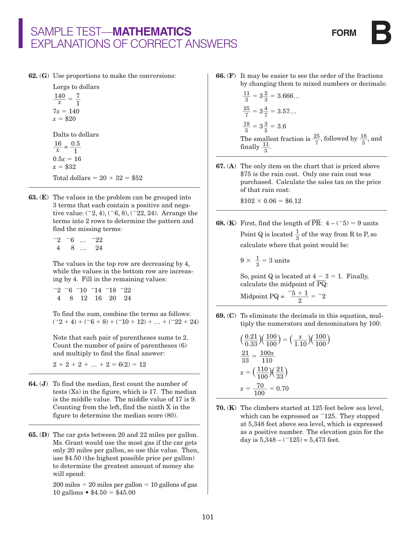62. (G) Use proportions to make the conversions:

Lorgs to dollars  $rac{140}{x} = \frac{7}{1}$  $\frac{1}{1}$  $7x = 140$  $x = $20$ Dalts to dollars  $\frac{16}{x} = \frac{0.5}{1}$  $\frac{1}{1}$  $0.5x = 16$  $x = $32$ Total dollars =  $20 + 32 = $52$ 

63. (E) The values in the problem can be grouped into 3 terms that each contain a positive and negative value:  $(2, 4)$ ,  $(6, 8)$ ,  $(22, 24)$ . Arrange the terms into 2 rows to determine the pattern and find the missing terms:

> $-2$   $-6$  …  $-22$ 4 8 … 24

 The values in the top row are decreasing by 4, while the values in the bottom row are increasing by 4. Fill in the remaining values:

|  | $-2$ -6 -10 -14 -18 -22 |  |  |
|--|-------------------------|--|--|
|  | 4 8 12 16 20 24         |  |  |

 To find the sum, combine the terms as follows:  $(2 + 4) + (6 + 8) + (10 + 12) + ... + (22 + 24)$ 

 Note that each pair of parentheses sums to 2. Count the number of pairs of parentheses (6) and multiply to find the final answer:

 $2 + 2 + 2 + ... + 2 = 6(2) = 12$ 

- 64. (J) To find the median, first count the number of tests (Xs) in the figure, which is 17. The median is the middle value. The middle value of 17 is 9. Counting from the left, find the ninth X in the figure to determine the median score (80).
- 65. (D) The car gets between 20 and 22 miles per gallon. Ms. Grant would use the most gas if the car gets only 20 miles per gallon, so use this value. Then, use \$4.50 (the highest possible price per gallon) to determine the greatest amount of money she will spend:

 $200$  miles  $\div$  20 miles per gallon = 10 gallons of gas 10 gallons •  $$4.50 = $45.00$ 

66. (F) It may be easier to see the order of the fractions by changing them to mixed numbers or decimals:

$$
\frac{11}{3} = 3\frac{2}{3} = 3.666...
$$
  

$$
\frac{25}{7} = 3\frac{4}{7} = 3.57...
$$
  

$$
\frac{18}{5} = 3\frac{3}{5} = 3.6
$$
The smallest fraction is  $\frac{25}{7}$ , followed by  $\frac{18}{5}$ , and finally  $\frac{11}{3}$ .

67. (A) The only item on the chart that is priced above \$75 is the rain coat. Only one rain coat was purchased. Calculate the sales tax on the price of that rain coat:

 $$102 \times 0.06 = $6.12$ 

**68.** (**K**) First, find the length of  $\overline{PR}$ :  $4 - (-5) = 9$  units Point Q is located  $\frac{1}{3}$  of the way from R to P, so calculate where that point would be:

$$
9 \times \frac{1}{3} = 3 \text{ units}
$$

So, point Q is located at  $4 - 3 = 1$ . Finally, So, point Q is located at 4 – 3<br>calculate the midpoint of  $\overline{\mathrm{PQ}}$ :

Midpoint PQ =  $\frac{-5 + 1}{2}$  $\frac{+1}{2}$  =  $-2$ 

69. (C) To eliminate the decimals in this equation, multiply the numerators and denominators by 100:

$$
\left(\frac{0.21}{0.33}\right)\left(\frac{100}{100}\right) = \left(\frac{x}{1.10}\right)\left(\frac{100}{100}\right)
$$

$$
\frac{21}{33} = \frac{100x}{110}
$$

$$
x = \left(\frac{110}{100}\right)\left(\frac{21}{33}\right)
$$

$$
x = \frac{70}{100} = 0.70
$$

70. (K) The climbers started at 125 feet below sea level, which can be expressed as  $-125$ . They stopped at 5,348 feet above sea level, which is expressed as a positive number. The elevation gain for the day is  $5,348 - (125) = 5,473$  feet.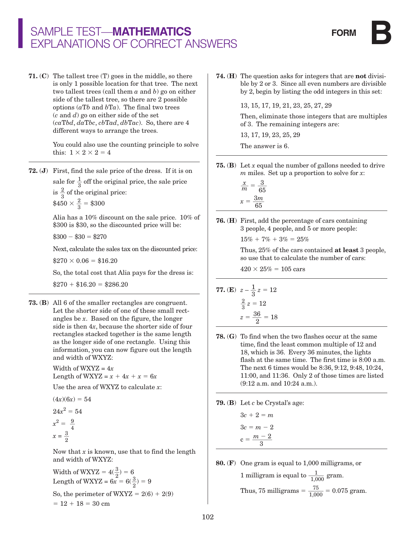71. (C) The tallest tree (T) goes in the middle, so there is only 1 possible location for that tree. The next two tallest trees (call them *a* and *b*) go on either side of the tallest tree, so there are 2 possible options  $(aTb$  and  $bTa$ ). The final two trees (*c* and *d*) go on either side of the set (*ca*T*bd*, *da*T*bc*, *cb*T*ad*, *db*T*ac*). So, there are 4 different ways to arrange the trees.

> You could also use the counting principle to solve this:  $1 \times 2 \times 2 = 4$

72. (J) First, find the sale price of the dress. If it is on sale for  $\frac{1}{3}$  off the original price, the sale price is  $\frac{2}{3}$  of the original price:  $$450 \times \frac{2}{3} = $300$ 

> Alia has a 10% discount on the sale price. 10% of \$300 is \$30, so the discounted price will be:

 $$300 - $30 = $270$ 

Next, calculate the sales tax on the discounted price:

 $$270 \times 0.06 = $16.20$ 

So, the total cost that Alia pays for the dress is:

 $$270 + $16.20 = $286.20$ 

73. (B) All 6 of the smaller rectangles are congruent. Let the shorter side of one of these small rectangles be *x*. Based on the figure, the longer side is then 4*x*, because the shorter side of four rectangles stacked together is the same length as the longer side of one rectangle. Using this information, you can now figure out the length and width of WXYZ:

> Width of WXYZ = 4*x* Length of WXYZ =  $x + 4x + x = 6x$

Use the area of WXYZ to calculate *x*:

$$
(4x)(6x) = 54
$$

$$
24x2 = 54
$$

$$
x2 = \frac{9}{4}
$$

$$
x = \frac{3}{2}^{4}
$$

 Now that *x* is known, use that to find the length and width of WXYZ:

Width of WXYZ =  $4(\frac{3}{2}) = 6$ Length of WXYZ =  $6x^2 = 6(\frac{3}{2}) = 9$ So, the perimeter of  $WXYZ = 2(6) + 2(9)$  $= 12 + 18 = 30$  cm

74. (H) The question asks for integers that are not divisible by 2 or 3. Since all even numbers are divisible by 2, begin by listing the odd integers in this set:

13, 15, 17, 19, 21, 23, 25, 27, 29

 Then, eliminate those integers that are multiples of 3. The remaining integers are:

13, 17, 19, 23, 25, 29

The answer is 6.

- 75. (B) Let *x* equal the number of gallons needed to drive *m* miles. Set up a proportion to solve for *x*:
- $\frac{x}{m} = \frac{3}{65}$  $x = \frac{3m}{65}$
- 76. (H) First, add the percentage of cars containing 3 people, 4 people, and 5 or more people:

 $15\% + 7\% + 3\% = 25\%$ 

 Thus, 25% of the cars contained at least 3 people, so use that to calculate the number of cars:

 $420 \times 25\% = 105 \text{ cars}$ 

**77.** (E) 
$$
z - \frac{1}{3}z = 12
$$
  
 $\frac{2}{3}z = 12$   
 $z = \frac{36}{2} = 18$ 

- 78. (G) To find when the two flashes occur at the same time, find the least common multiple of 12 and 18, which is 36. Every 36 minutes, the lights flash at the same time. The first time is 8:00 a.m. The next 6 times would be 8:36, 9:12, 9:48, 10:24, 11:00, and 11:36. Only 2 of those times are listed (9:12 a.m. and 10:24 a.m.).
- 79. (B) Let *c* be Crystal's age:

$$
3c + 2 = m
$$

$$
3c = m - 2
$$

$$
c = \frac{m - 2}{3}
$$

80. (F) One gram is equal to 1,000 milligrams, or

1 milligram is equal to  $\frac{1}{1,000}$  gram. Thus, 75 milligrams =  $\frac{75}{1,000}$  = 0.075 gram.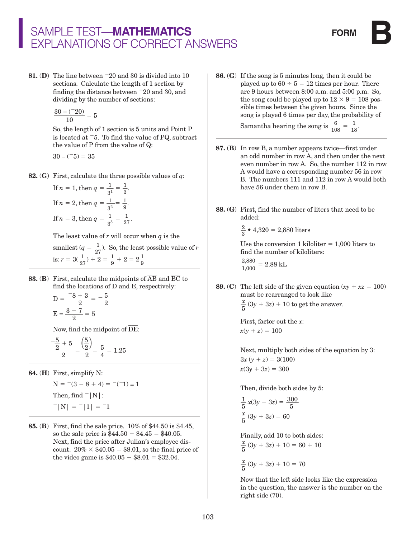**81.** (D) The line between  $\overline{20}$  and 30 is divided into 10 sections. Calculate the length of 1 section by finding the distance between  $-20$  and 30, and dividing by the number of sections:

$$
\frac{30 - (-20)}{10} = 5
$$

 So, the length of 1 section is 5 units and Point P is located at  $-5$ . To find the value of PQ, subtract the value of P from the value of Q:

$$
30 - (-5) = 35
$$

82. (G) First, calculate the three possible values of *q*:

If 
$$
n = 1
$$
, then  $q = \frac{1}{3^1} = \frac{1}{3}$ .  
\nIf  $n = 2$ , then  $q = \frac{1}{3^2} = \frac{1}{9}$ .  
\nIf  $n = 3$ , then  $q = \frac{1}{3^3} = \frac{1}{27}$ .

The least value of *r* will occur when *q* is the

- smallest  $(q = \frac{1}{27})$ . So, the least possible value of *r* is:  $r = 3(\frac{1}{27}) + 2 = \frac{1}{9} + 2 = 2\frac{1}{9}$
- **83. (B)** First, calculate the midpoints of  $\overline{AB}$  and  $\overline{BC}$  to find the locations of D and E, respectively:

$$
D = \frac{-8 + 3}{2} = -\frac{5}{2}
$$

$$
E = \frac{3 + 7}{2} = 5
$$

Now, find the midpoint of  $\overline{\rm DE}$ :

$$
\frac{-\frac{5}{2}+5}{2} = \frac{\left(\frac{5}{2}\right)}{2} = \frac{5}{4} = 1.25
$$

84. (H) First, simplify N:

$$
N = -(3 - 8 + 4) = -(-1) = 1
$$
  
Then, find  $-|N|$ :  
 $-|N| = -|1| = -1$ 

85. (B) First, find the sale price. 10% of \$44.50 is \$4.45, so the sale price is  $$44.50 - $4.45 = $40.05$ . Next, find the price after Julian's employee discount.  $20\% \times $40.05 = $8.01$ , so the final price of the video game is  $$40.05 - $8.01 = $32.04$ .

- 86. (G) If the song is 5 minutes long, then it could be played up to  $60 \div 5 = 12$  times per hour. There are 9 hours between 8:00 a.m. and 5:00 p.m. So, the song could be played up to  $12 \times 9 = 108$  possible times between the given hours. Since the song is played 6 times per day, the probability of Samantha hearing the song is  $\frac{6}{108} = \frac{1}{18}$ .
- 87. (B) In row B, a number appears twice—first under an odd number in row A, and then under the next even number in row A. So, the number 112 in row A would have a corresponding number 56 in row B. The numbers 111 and 112 in row A would both have 56 under them in row B.
- 88. (G) First, find the number of liters that need to be added:

$$
\frac{2}{3} \cdot 4,320 = 2,880 \text{ liters}
$$

Use the conversion 1 kiloliter  $= 1,000$  liters to find the number of kiloliters:

$$
\frac{2,880}{1,000} = 2.88 \text{ kI}
$$

 $\frac{2}{3}$ 

89. (C) The left side of the given equation  $(xy + xz = 100)$ must be rearranged to look like  $\frac{x}{5}(3y+3z)+10$  to get the answer.

> First, factor out the *x*:  $x(y + z) = 100$

 Next, multiply both sides of the equation by 3:  $3x (y + z) = 3(100)$  $x(3y + 3z) = 300$ 

Then, divide both sides by 5:

$$
\frac{1}{5}x(3y + 3z) = \frac{300}{5}
$$

$$
\frac{x}{5}(3y + 3z) = 60
$$

Finally, add 10 to both sides:  $\frac{x}{5}(3y + 3z) + 10 = 60 + 10$  $\frac{x}{5}(3y + 3z) + 10 = 70$ 

> Now that the left side looks like the expression in the question, the answer is the number on the right side (70).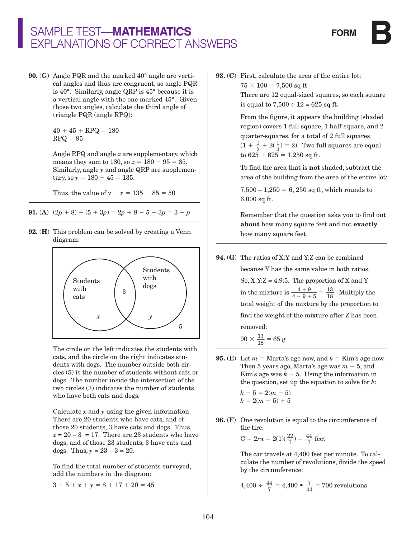90. (G) Angle PQR and the marked 40° angle are vertical angles and thus are congruent, so angle PQR is 40°. Similarly, angle QRP is 45° because it is a vertical angle with the one marked 45°. Given those two angles, calculate the third angle of triangle PQR (angle RPQ):

> $40 + 45 + RPQ = 180$  $RPQ = 95$

 Angle RPQ and angle *x* are supplementary, which means they sum to 180, so  $x = 180 - 95 = 85$ . Similarly, angle *y* and angle QRP are supplemen $tary, so y = 180 - 45 = 135.$ 

Thus, the value of  $y - x = 135 - 85 = 50$ 

91. (A)  $(2p + 8) - (5 + 3p) = 2p + 8 - 5 - 3p = 3 - p$ 

92. (H) This problem can be solved by creating a Venn diagram:



 The circle on the left indicates the students with cats, and the circle on the right indicates students with dogs. The number outside both circles (5) is the number of students without cats or dogs. The number inside the intersection of the two circles (3) indicates the number of students who have both cats and dogs.

 Calculate *x* and *y* using the given information: There are 20 students who have cats, and of those 20 students, 3 have cats and dogs. Thus,  $x = 20 - 3 = 17$ . There are 23 students who have dogs, and of those 23 students, 3 have cats and dogs. Thus,  $y = 23 - 3 = 20$ .

 To find the total number of students surveyed, add the numbers in the diagram:

 $3 + 5 + x + y = 8 + 17 + 20 = 45$ 

93. (C) First, calculate the area of the entire lot:

 $75 \times 100 = 7,500$  sq ft

 There are 12 equal-sized squares, so each square is equal to  $7,500 \div 12 = 625$  sq ft.

 From the figure, it appears the building (shaded region) covers 1 full square, 1 half-square, and 2 quarter-squares, for a total of 2 full squares  $(1 + \frac{1}{2} + 2(\frac{1}{4}) = 2)$ . Two full squares are equal to  $625 + 625 = 1,250$  sq ft.

 To find the area that is not shaded, subtract the area of the building from the area of the entire lot:

 $7,500 - 1,250 = 6,250$  sq ft, which rounds to 6,000 sq ft.

Remember that the question asks you to find out about how many square feet and not exactly how many square feet.

94. (G) The ratios of X:Y and Y:Z can be combined

because Y has the same value in both ratios. So,  $X:Y:Z = 4:9:5$ . The proportion of X and Y in the mixture is  $\frac{4+9}{4+9+5} = \frac{13}{18}$ . Multiply the total weight of the mixture by the proportion to find the weight of the mixture after Z has been removed:

$$
90 \times \frac{13}{18} = 65 \text{ g}
$$

- **95.** (**E**) Let  $m =$  Marta's age now, and  $k =$  Kim's age now. Then 5 years ago, Marta's age was  $m - 5$ , and Kim's age was  $k-5$ . Using the information in the question, set up the equation to solve for *k*:
	- $k 5 = 2(m 5)$  $k = 2(m - 5) + 5$
- **96.** (F) One revolution is equal to the circumference of the tire:

$$
C = 2r\pi = 2(1)(\frac{22}{7}) = \frac{44}{7}
$$
 feet

 The car travels at 4,400 feet per minute. To calculate the number of revolutions, divide the speed by the circumference:

$$
4,400 \div \frac{44}{7} = 4,400 \bullet \frac{7}{44} = 700
$$
 revolutions